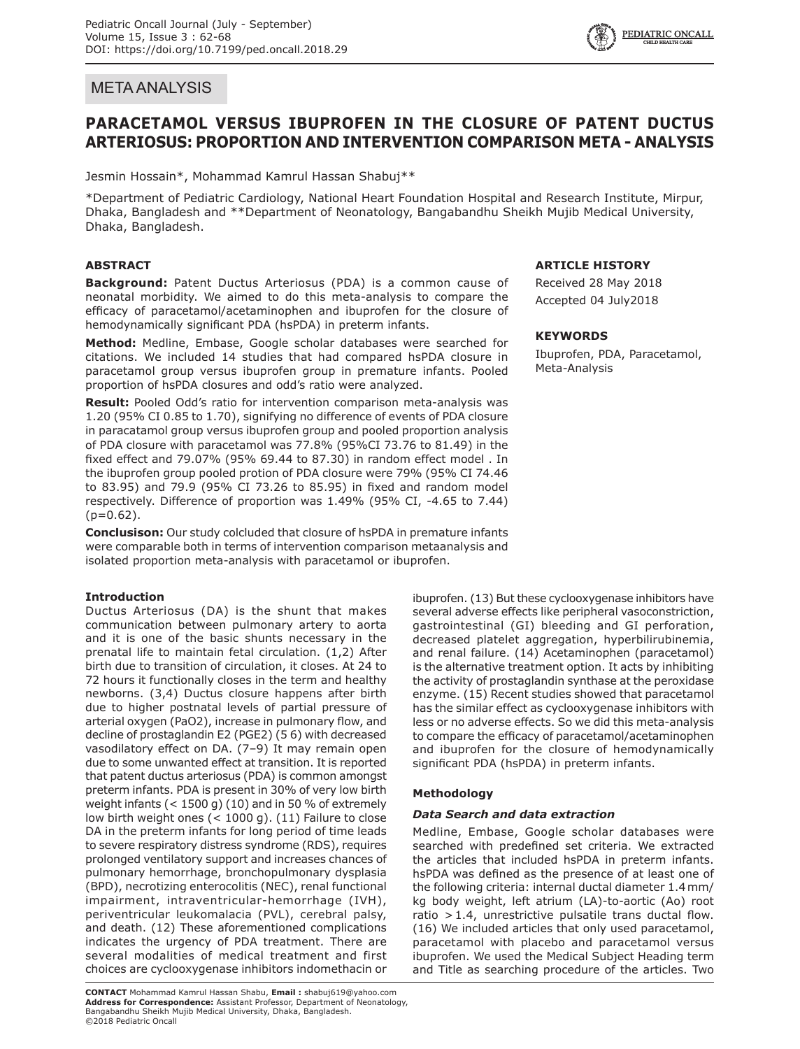# META ANALYSIS

# **PARACETAMOL VERSUS IBUPROFEN IN THE CLOSURE OF PATENT DUCTUS ARTERIOSUS: PROPORTION AND INTERVENTION COMPARISON META - ANALYSIS**

Jesmin Hossain\*, Mohammad Kamrul Hassan Shabuj\*\*

\*Department of Pediatric Cardiology, National Heart Foundation Hospital and Research Institute, Mirpur, Dhaka, Bangladesh and \*\*Department of Neonatology, Bangabandhu Sheikh Mujib Medical University, Dhaka, Bangladesh.

# **ABSTRACT**

**Background:** Patent Ductus Arteriosus (PDA) is a common cause of neonatal morbidity. We aimed to do this meta-analysis to compare the efficacy of paracetamol/acetaminophen and ibuprofen for the closure of hemodynamically significant PDA (hsPDA) in preterm infants.

**Method:** Medline, Embase, Google scholar databases were searched for citations. We included 14 studies that had compared hsPDA closure in paracetamol group versus ibuprofen group in premature infants. Pooled proportion of hsPDA closures and odd's ratio were analyzed.

**Result:** Pooled Odd's ratio for intervention comparison meta-analysis was 1.20 (95% CI 0.85 to 1.70), signifying no difference of events of PDA closure in paracatamol group versus ibuprofen group and pooled proportion analysis of PDA closure with paracetamol was 77.8% (95%CI 73.76 to 81.49) in the fixed effect and 79.07% (95% 69.44 to 87.30) in random effect model . In the ibuprofen group pooled protion of PDA closure were 79% (95% CI 74.46 to 83.95) and 79.9 (95% CI 73.26 to 85.95) in fixed and random model respectively. Difference of proportion was 1.49% (95% CI, -4.65 to 7.44)  $(p=0.62)$ .

**Conclusison:** Our study colcluded that closure of hsPDA in premature infants were comparable both in terms of intervention comparison metaanalysis and isolated proportion meta-analysis with paracetamol or ibuprofen.

# **Introduction**

Ductus Arteriosus (DA) is the shunt that makes communication between pulmonary artery to aorta and it is one of the basic shunts necessary in the prenatal life to maintain fetal circulation. (1,2) After birth due to transition of circulation, it closes. At 24 to 72 hours it functionally closes in the term and healthy newborns. (3,4) Ductus closure happens after birth due to higher postnatal levels of partial pressure of arterial oxygen (PaO2), increase in pulmonary flow, and decline of prostaglandin E2 (PGE2) (5 6) with decreased vasodilatory effect on DA. (7–9) It may remain open due to some unwanted effect at transition. It is reported that patent ductus arteriosus (PDA) is common amongst preterm infants. PDA is present in 30% of very low birth weight infants (< 1500 g) (10) and in 50 % of extremely low birth weight ones (< 1000 g). (11) Failure to close DA in the preterm infants for long period of time leads to severe respiratory distress syndrome (RDS), requires prolonged ventilatory support and increases chances of pulmonary hemorrhage, bronchopulmonary dysplasia (BPD), necrotizing enterocolitis (NEC), renal functional impairment, intraventricular-hemorrhage (IVH), periventricular leukomalacia (PVL), cerebral palsy, and death. (12) These aforementioned complications indicates the urgency of PDA treatment. There are several modalities of medical treatment and first choices are cyclooxygenase inhibitors indomethacin or

# **ARTICLE HISTORY**

Received 28 May 2018 Accepted 04 July2018

## **KEYWORDS**

Ibuprofen, PDA, Paracetamol, Meta-Analysis

ibuprofen. (13) But these cyclooxygenase inhibitors have several adverse effects like peripheral vasoconstriction, gastrointestinal (GI) bleeding and GI perforation, decreased platelet aggregation, hyperbilirubinemia, and renal failure. (14) Acetaminophen (paracetamol) is the alternative treatment option. It acts by inhibiting the activity of prostaglandin synthase at the peroxidase enzyme. (15) Recent studies showed that paracetamol has the similar effect as cyclooxygenase inhibitors with less or no adverse effects. So we did this meta-analysis to compare the efficacy of paracetamol/acetaminophen and ibuprofen for the closure of hemodynamically significant PDA (hsPDA) in preterm infants.

# **Methodology**

# *Data Search and data extraction*

Medline, Embase, Google scholar databases were searched with predefined set criteria. We extracted the articles that included hsPDA in preterm infants. hsPDA was defined as the presence of at least one of the following criteria: internal ductal diameter 1.4mm/ kg body weight, left atrium (LA)-to-aortic (Ao) root ratio  $>1.4$ , unrestrictive pulsatile trans ductal flow. (16) We included articles that only used paracetamol, paracetamol with placebo and paracetamol versus ibuprofen. We used the Medical Subject Heading term and Title as searching procedure of the articles. Two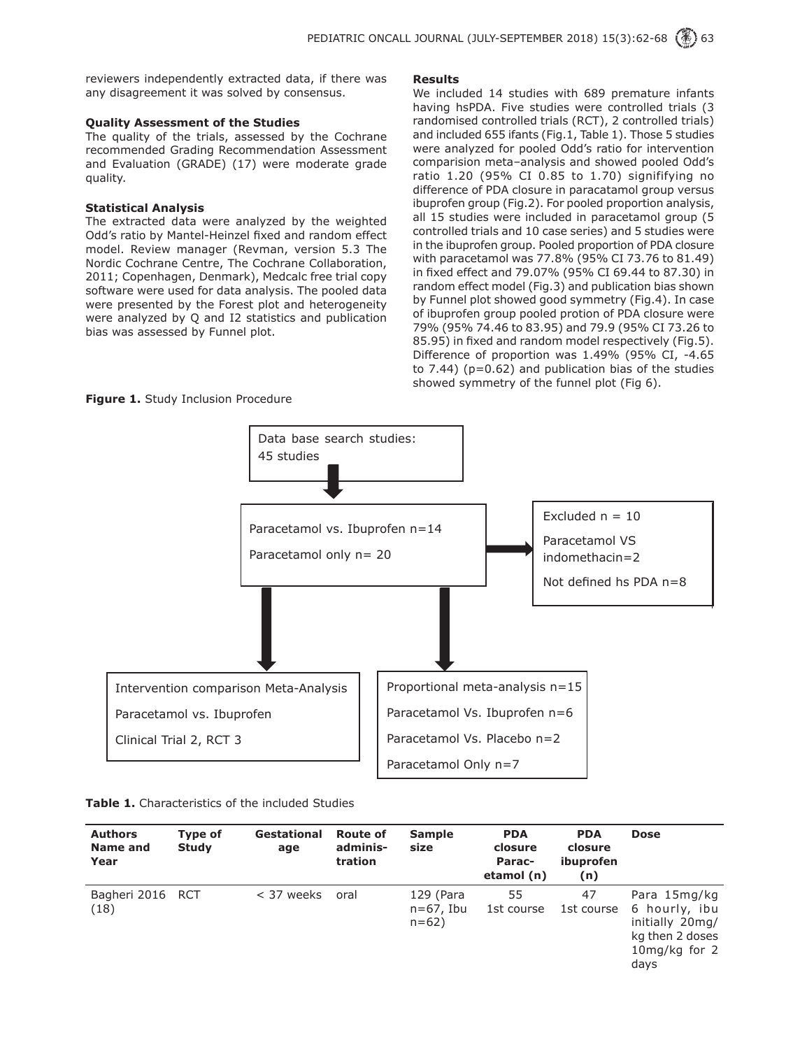reviewers independently extracted data, if there was any disagreement it was solved by consensus.

## **Quality Assessment of the Studies**

The quality of the trials, assessed by the Cochrane recommended Grading Recommendation Assessment and Evaluation (GRADE) (17) were moderate grade quality.

## **Statistical Analysis**

The extracted data were analyzed by the weighted Odd's ratio by Mantel-Heinzel fixed and random effect model. Review manager (Revman, version 5.3 The Nordic Cochrane Centre, The Cochrane Collaboration, 2011; Copenhagen, Denmark), Medcalc free trial copy software were used for data analysis. The pooled data were presented by the Forest plot and heterogeneity were analyzed by Q and I2 statistics and publication bias was assessed by Funnel plot.

### **Results**

We included 14 studies with 689 premature infants having hsPDA. Five studies were controlled trials (3 randomised controlled trials (RCT), 2 controlled trials) and included 655 ifants (Fig.1, Table 1). Those 5 studies were analyzed for pooled Odd's ratio for intervention comparision meta–analysis and showed pooled Odd's ratio 1.20 (95% CI 0.85 to 1.70) signififying no difference of PDA closure in paracatamol group versus ibuprofen group (Fig.2). For pooled proportion analysis, all 15 studies were included in paracetamol group (5 controlled trials and 10 case series) and 5 studies were in the ibuprofen group. Pooled proportion of PDA closure with paracetamol was 77.8% (95% CI 73.76 to 81.49) in fixed effect and 79.07% (95% CI 69.44 to 87.30) in random effect model (Fig.3) and publication bias shown by Funnel plot showed good symmetry (Fig.4). In case of ibuprofen group pooled protion of PDA closure were 79% (95% 74.46 to 83.95) and 79.9 (95% CI 73.26 to 85.95) in fixed and random model respectively (Fig.5). Difference of proportion was 1.49% (95% CI, -4.65 to  $7.44$ ) ( $p=0.62$ ) and publication bias of the studies showed symmetry of the funnel plot (Fig 6).

**Figure 1.** Study Inclusion Procedure



| <b>Authors</b><br>Name and<br>Year | Type of<br><b>Study</b> | Gestational<br>age | <b>Route of</b><br>adminis-<br>tration | <b>Sample</b><br>size               | <b>PDA</b><br>closure<br>Parac-<br>etamol (n) | <b>PDA</b><br>closure<br>ibuprofen<br>(n) | <b>Dose</b>                                                                                     |
|------------------------------------|-------------------------|--------------------|----------------------------------------|-------------------------------------|-----------------------------------------------|-------------------------------------------|-------------------------------------------------------------------------------------------------|
| Bagheri 2016 RCT<br>(18)           |                         | < 37 weeks         | oral                                   | 129 (Para<br>$n=67$ , Ibu<br>$n=62$ | 55<br>1st course                              | 47<br>1st course                          | Para 15mg/kg<br>6 hourly, ibu<br>initially 20mg/<br>kg then 2 doses<br>$10$ mg/kg for 2<br>days |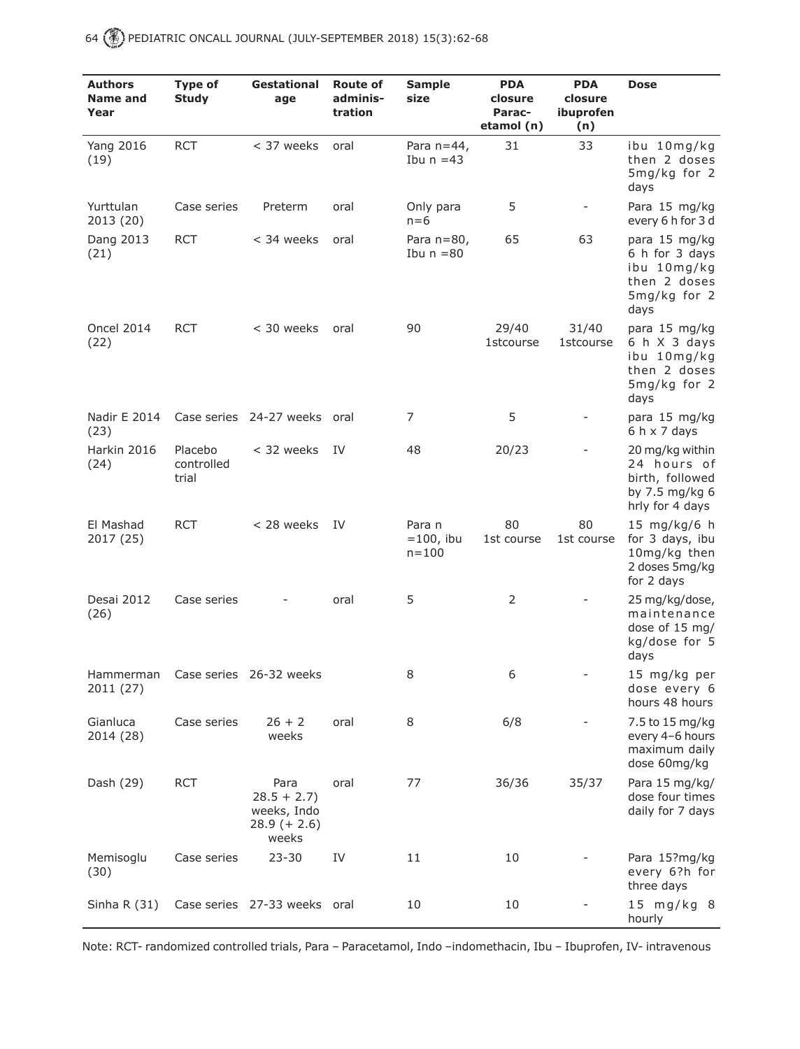| <b>Authors</b><br>Name and<br>Year | <b>Type of</b><br><b>Study</b> | <b>Gestational</b><br>age                                      | <b>Route of</b><br>adminis-<br>tration | <b>Sample</b><br>size               | <b>PDA</b><br>closure<br>Parac-<br>etamol (n) | <b>PDA</b><br>closure<br>ibuprofen<br>(n) | <b>Dose</b>                                                                            |
|------------------------------------|--------------------------------|----------------------------------------------------------------|----------------------------------------|-------------------------------------|-----------------------------------------------|-------------------------------------------|----------------------------------------------------------------------------------------|
| <b>Yang 2016</b><br>(19)           | <b>RCT</b>                     | < 37 weeks                                                     | oral                                   | Para $n=44$ ,<br>Ibu $n = 43$       | 31                                            | 33                                        | ibu 10mg/kg<br>then 2 doses<br>5mg/kg for 2<br>days                                    |
| Yurttulan<br>2013 (20)             | Case series                    | Preterm                                                        | oral                                   | Only para<br>$n=6$                  | 5                                             | $\overline{\phantom{0}}$                  | Para 15 mg/kg<br>every 6 h for 3 d                                                     |
| Dang 2013<br>(21)                  | <b>RCT</b>                     | < 34 weeks                                                     | oral                                   | Para $n=80$ ,<br>Ibu $n = 80$       | 65                                            | 63                                        | para 15 mg/kg<br>6 h for 3 days<br>ibu 10mg/kg<br>then 2 doses<br>5mg/kg for 2<br>days |
| <b>Oncel 2014</b><br>(22)          | <b>RCT</b>                     | $<$ 30 weeks                                                   | oral                                   | 90                                  | 29/40<br><b>1stcourse</b>                     | 31/40<br><b>1stcourse</b>                 | para 15 mg/kg<br>6 h X 3 days<br>ibu 10mg/kg<br>then 2 doses<br>5mg/kg for 2<br>days   |
| Nadir E 2014<br>(23)               |                                | Case series 24-27 weeks oral                                   |                                        | 7                                   | 5                                             |                                           | para 15 mg/kg<br>$6 h \times 7$ days                                                   |
| Harkin 2016<br>(24)                | Placebo<br>controlled<br>trial | < 32 weeks                                                     | - IV                                   | 48                                  | 20/23                                         |                                           | 20 mg/kg within<br>24 hours of<br>birth, followed<br>by 7.5 mg/kg 6<br>hrly for 4 days |
| El Mashad<br>2017 (25)             | <b>RCT</b>                     | < 28 weeks                                                     | - IV                                   | Para n<br>$=100$ , ibu<br>$n = 100$ | 80<br>1st course                              | 80<br>1st course                          | 15 mg/kg/6 h<br>for 3 days, ibu<br>10mg/kg then<br>2 doses 5mg/kg<br>for 2 days        |
| Desai 2012<br>(26)                 | Case series                    |                                                                | oral                                   | 5                                   | $\overline{2}$                                |                                           | 25 mg/kg/dose,<br>maintenance<br>dose of 15 mg/<br>kg/dose for 5<br>days               |
| Hammerman<br>2011 (27)             |                                | Case series 26-32 weeks                                        |                                        | 8                                   | 6                                             | -                                         | 15 mg/kg per<br>dose every 6<br>hours 48 hours                                         |
| Gianluca<br>2014 (28)              | Case series                    | $26 + 2$<br>weeks                                              | oral                                   | 8                                   | 6/8                                           |                                           | 7.5 to 15 mg/kg<br>every 4-6 hours<br>maximum daily<br>dose 60mg/kg                    |
| Dash (29)                          | <b>RCT</b>                     | Para<br>$28.5 + 2.7$<br>weeks, Indo<br>$28.9 (+ 2.6)$<br>weeks | oral                                   | 77                                  | 36/36                                         | 35/37                                     | Para 15 mg/kg/<br>dose four times<br>daily for 7 days                                  |
| Memisoglu<br>(30)                  | Case series                    | $23 - 30$                                                      | IV                                     | 11                                  | 10                                            |                                           | Para 15?mg/kg<br>every 6?h for<br>three days                                           |
| Sinha R $(31)$                     |                                | Case series 27-33 weeks oral                                   |                                        | 10                                  | 10                                            |                                           | 15 mg/kg 8<br>hourly                                                                   |

Note: RCT- randomized controlled trials, Para – Paracetamol, Indo –indomethacin, Ibu – Ibuprofen, IV- intravenous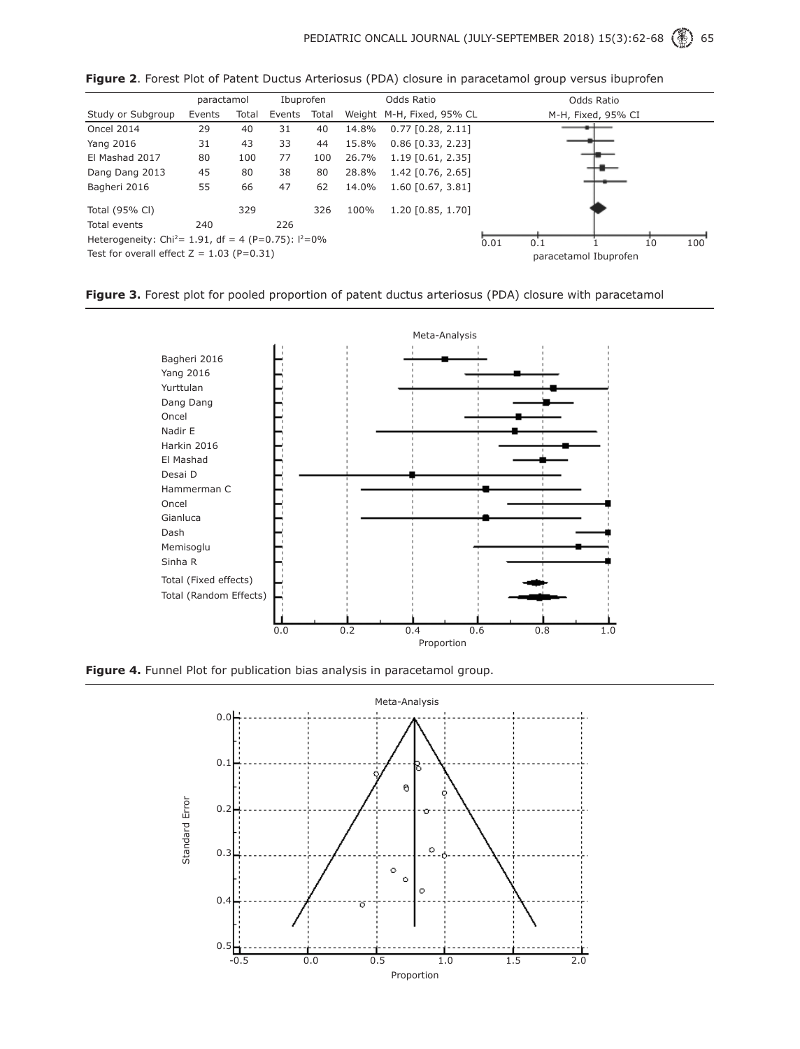|                                                                    | paractamol |       | Ibuprofen |       | Odds Ratio |                           | Odds Ratio            |     |  |    |     |
|--------------------------------------------------------------------|------------|-------|-----------|-------|------------|---------------------------|-----------------------|-----|--|----|-----|
| Study or Subgroup                                                  | Events     | Total | Events    | Total |            | Weight M-H, Fixed, 95% CL | M-H, Fixed, 95% CI    |     |  |    |     |
| Oncel 2014                                                         | 29         | 40    | 31        | 40    | 14.8%      | $0.77$ [0.28, 2.11]       |                       |     |  |    |     |
| Yang 2016                                                          | 31         | 43    | 33        | 44    | 15.8%      | $0.86$ [0.33, 2.23]       |                       |     |  |    |     |
| El Mashad 2017                                                     | 80         | 100   | 77        | 100   | 26.7%      | $1.19$ [0.61, 2.35]       |                       |     |  |    |     |
| Dang Dang 2013                                                     | 45         | 80    | 38        | 80    | 28.8%      | $1.42$ [0.76, 2.65]       |                       |     |  |    |     |
| Bagheri 2016                                                       | 55         | 66    | 47        | 62    | 14.0%      | $1.60$ [0.67, 3.81]       |                       |     |  |    |     |
| Total (95% CI)                                                     |            | 329   |           | 326   | 100%       | 1.20 [0.85, 1.70]         |                       |     |  |    |     |
| Total events                                                       | 240        |       | 226       |       |            |                           |                       |     |  |    |     |
| Heterogeneity: Chi <sup>2</sup> = 1.91, df = 4 (P=0.75): $1^2$ =0% |            |       |           |       |            |                           | 0.01                  | 0.1 |  | 10 | 100 |
| Test for overall effect $Z = 1.03$ (P=0.31)                        |            |       |           |       |            |                           | paracetamol Ibuprofen |     |  |    |     |

**Figure 2**. Forest Plot of Patent Ductus Arteriosus (PDA) closure in paracetamol group versus ibuprofen





**Figure 4.** Funnel Plot for publication bias analysis in paracetamol group.

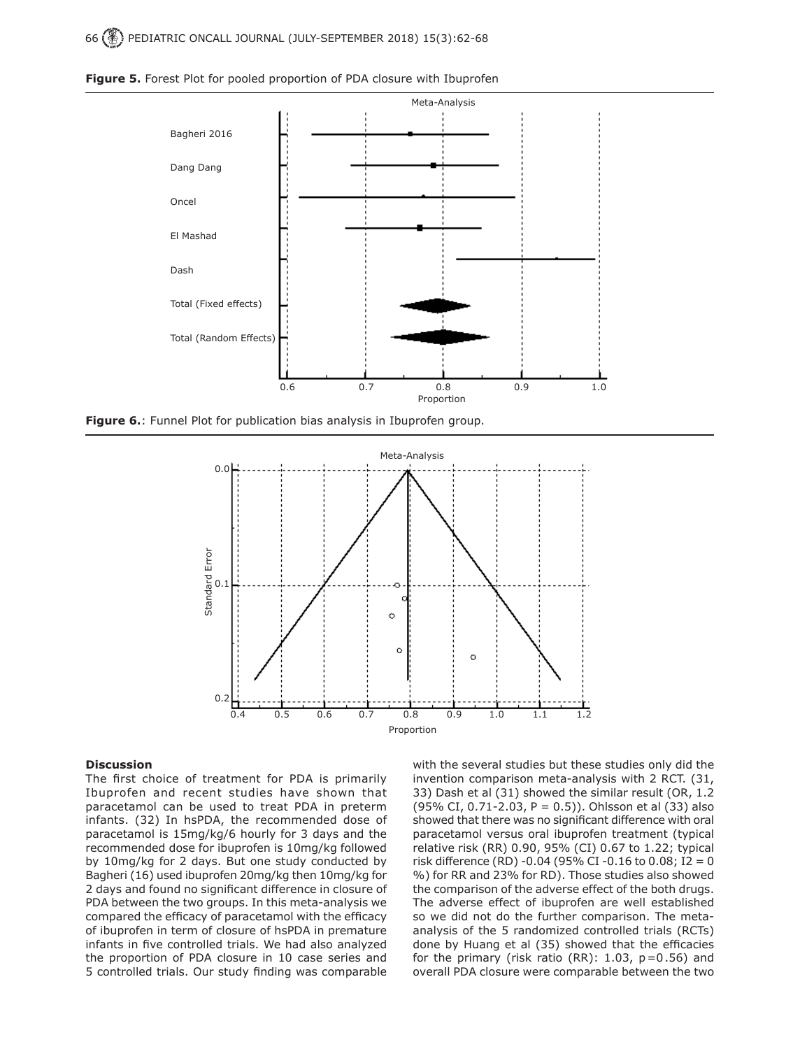

**Figure 5.** Forest Plot for pooled proportion of PDA closure with Ibuprofen

**Figure 6.**: Funnel Plot for publication bias analysis in Ibuprofen group.



#### **Discussion**

The first choice of treatment for PDA is primarily Ibuprofen and recent studies have shown that paracetamol can be used to treat PDA in preterm infants. (32) In hsPDA, the recommended dose of paracetamol is 15mg/kg/6 hourly for 3 days and the recommended dose for ibuprofen is 10mg/kg followed by 10mg/kg for 2 days. But one study conducted by Bagheri (16) used ibuprofen 20mg/kg then 10mg/kg for 2 days and found no significant difference in closure of PDA between the two groups. In this meta-analysis we compared the efficacy of paracetamol with the efficacy of ibuprofen in term of closure of hsPDA in premature infants in five controlled trials. We had also analyzed the proportion of PDA closure in 10 case series and 5 controlled trials. Our study finding was comparable

with the several studies but these studies only did the invention comparison meta-analysis with 2 RCT. (31, 33) Dash et al (31) showed the similar result (OR, 1.2 (95% CI, 0.71-2.03, P = 0.5)). Ohlsson et al (33) also showed that there was no significant difference with oral paracetamol versus oral ibuprofen treatment (typical relative risk (RR) 0.90, 95% (CI) 0.67 to 1.22; typical risk difference (RD) -0.04 (95% CI -0.16 to 0.08; I2 = 0 %) for RR and 23% for RD). Those studies also showed the comparison of the adverse effect of the both drugs. The adverse effect of ibuprofen are well established so we did not do the further comparison. The metaanalysis of the 5 randomized controlled trials (RCTs) done by Huang et al (35) showed that the efficacies for the primary (risk ratio (RR):  $1.03$ ,  $p=0.56$ ) and overall PDA closure were comparable between the two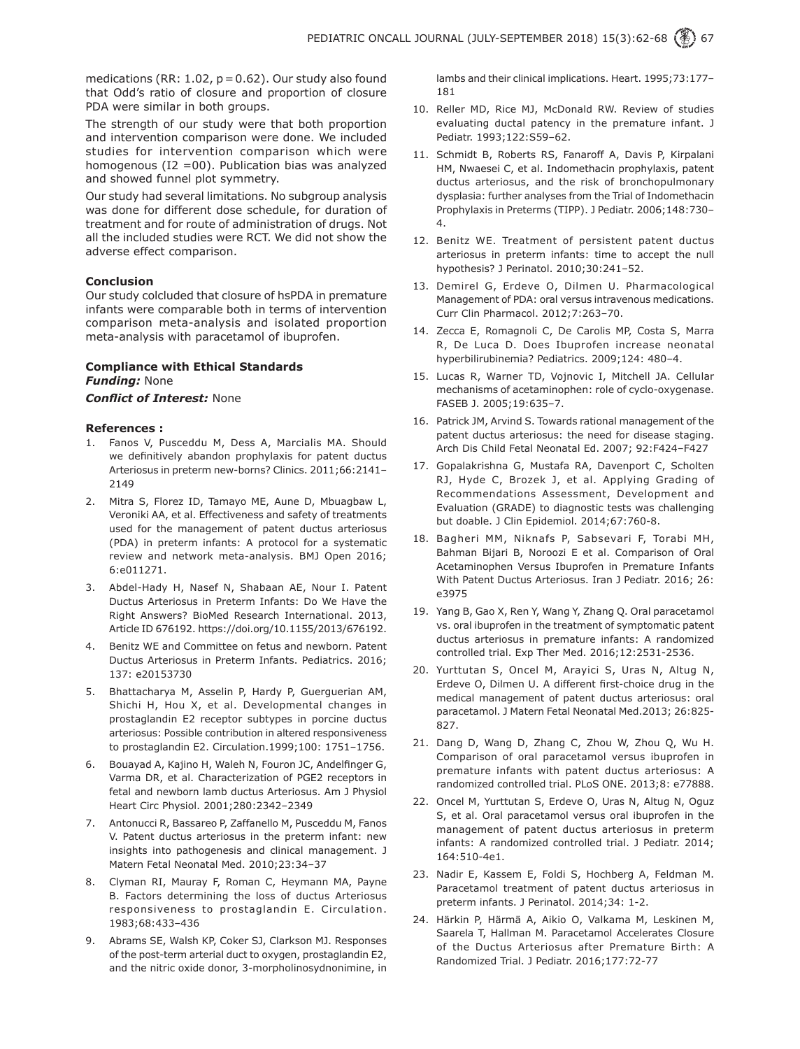medications (RR:  $1.02$ ,  $p = 0.62$ ). Our study also found that Odd's ratio of closure and proportion of closure PDA were similar in both groups.

The strength of our study were that both proportion and intervention comparison were done. We included studies for intervention comparison which were homogenous ( $I2 = 00$ ). Publication bias was analyzed and showed funnel plot symmetry.

Our study had several limitations. No subgroup analysis was done for different dose schedule, for duration of treatment and for route of administration of drugs. Not all the included studies were RCT. We did not show the adverse effect comparison.

### **Conclusion**

Our study colcluded that closure of hsPDA in premature infants were comparable both in terms of intervention comparison meta-analysis and isolated proportion meta-analysis with paracetamol of ibuprofen.

## **Compliance with Ethical Standards** *Funding:* None

## *Conflict of Interest:* None

#### **References :**

- 1. Fanos V, Pusceddu M, Dess A, Marcialis MA. Should we definitively abandon prophylaxis for patent ductus Arteriosus in preterm new-borns? Clinics. 2011;66:2141– 2149
- 2. Mitra S, Florez ID, Tamayo ME, Aune D, Mbuagbaw L, Veroniki AA, et al. Effectiveness and safety of treatments used for the management of patent ductus arteriosus (PDA) in preterm infants: A protocol for a systematic review and network meta-analysis. BMJ Open 2016; 6:e011271.
- 3. Abdel-Hady H, Nasef N, Shabaan AE, Nour I. Patent Ductus Arteriosus in Preterm Infants: Do We Have the Right Answers? BioMed Research International. 2013, Article ID 676192. https://doi.org/10.1155/2013/676192.
- 4. Benitz WE and Committee on fetus and newborn. Patent Ductus Arteriosus in Preterm Infants. Pediatrics. 2016; 137: e20153730
- 5. Bhattacharya M, Asselin P, Hardy P, Guerguerian AM, Shichi H, Hou X, et al. Developmental changes in prostaglandin E2 receptor subtypes in porcine ductus arteriosus: Possible contribution in altered responsiveness to prostaglandin E2. Circulation.1999;100: 1751–1756.
- 6. Bouayad A, Kajino H, Waleh N, Fouron JC, Andelfinger G, Varma DR, et al. Characterization of PGE2 receptors in fetal and newborn lamb ductus Arteriosus. Am J Physiol Heart Circ Physiol. 2001;280:2342–2349
- 7. Antonucci R, Bassareo P, Zaffanello M, Pusceddu M, Fanos V. Patent ductus arteriosus in the preterm infant: new insights into pathogenesis and clinical management. J Matern Fetal Neonatal Med. 2010;23:34–37
- 8. Clyman RI, Mauray F, Roman C, Heymann MA, Payne B. Factors determining the loss of ductus Arteriosus responsiveness to prostaglandin E. Circulation. 1983;68:433–436
- 9. Abrams SE, Walsh KP, Coker SJ, Clarkson MJ. Responses of the post-term arterial duct to oxygen, prostaglandin E2, and the nitric oxide donor, 3-morpholinosydnonimine, in

lambs and their clinical implications. Heart. 1995;73:177– 181

- 10. Reller MD, Rice MJ, McDonald RW. Review of studies evaluating ductal patency in the premature infant. J Pediatr. 1993;122:S59–62.
- 11. Schmidt B, Roberts RS, Fanaroff A, Davis P, Kirpalani HM, Nwaesei C, et al. Indomethacin prophylaxis, patent ductus arteriosus, and the risk of bronchopulmonary dysplasia: further analyses from the Trial of Indomethacin Prophylaxis in Preterms (TIPP). J Pediatr. 2006;148:730– 4.
- 12. Benitz WE. Treatment of persistent patent ductus arteriosus in preterm infants: time to accept the null hypothesis? J Perinatol. 2010;30:241–52.
- 13. Demirel G, Erdeve O, Dilmen U. Pharmacological Management of PDA: oral versus intravenous medications. Curr Clin Pharmacol. 2012;7:263–70.
- 14. Zecca E, Romagnoli C, De Carolis MP, Costa S, Marra R, De Luca D. Does Ibuprofen increase neonatal hyperbilirubinemia? Pediatrics. 2009;124: 480–4.
- 15. Lucas R, Warner TD, Vojnovic I, Mitchell JA. Cellular mechanisms of acetaminophen: role of cyclo-oxygenase. FASEB J. 2005;19:635–7.
- 16. Patrick JM, Arvind S. Towards rational management of the patent ductus arteriosus: the need for disease staging. Arch Dis Child Fetal Neonatal Ed. 2007; 92:F424–F427
- 17. Gopalakrishna G, Mustafa RA, Davenport C, Scholten RJ, Hyde C, Brozek J, et al. Applying Grading of Recommendations Assessment, Development and Evaluation (GRADE) to diagnostic tests was challenging but doable. J Clin Epidemiol. 2014;67:760-8.
- 18. Bagheri MM, Niknafs P, Sabsevari F, Torabi MH, Bahman Bijari B, Noroozi E et al. Comparison of Oral Acetaminophen Versus Ibuprofen in Premature Infants With Patent Ductus Arteriosus. Iran J Pediatr. 2016; 26: e3975
- 19. Yang B, Gao X, Ren Y, Wang Y, Zhang Q. Oral paracetamol vs. oral ibuprofen in the treatment of symptomatic patent ductus arteriosus in premature infants: A randomized controlled trial. Exp Ther Med. 2016;12:2531-2536.
- 20. Yurttutan S, Oncel M, Arayici S, Uras N, Altug N, Erdeve O, Dilmen U. A different first-choice drug in the medical management of patent ductus arteriosus: oral paracetamol. J Matern Fetal Neonatal Med.2013; 26:825- 827.
- 21. Dang D, Wang D, Zhang C, Zhou W, Zhou Q, Wu H. Comparison of oral paracetamol versus ibuprofen in premature infants with patent ductus arteriosus: A randomized controlled trial. PLoS ONE. 2013;8: e77888.
- 22. Oncel M, Yurttutan S, Erdeve O, Uras N, Altug N, Oguz S, et al. Oral paracetamol versus oral ibuprofen in the management of patent ductus arteriosus in preterm infants: A randomized controlled trial. J Pediatr. 2014; 164:510-4e1.
- 23. Nadir E, Kassem E, Foldi S, Hochberg A, Feldman M. Paracetamol treatment of patent ductus arteriosus in preterm infants. J Perinatol. 2014;34: 1-2.
- 24. Härkin P, Härmä A, Aikio O, Valkama M, Leskinen M, Saarela T, Hallman M. Paracetamol Accelerates Closure of the Ductus Arteriosus after Premature Birth: A Randomized Trial. J Pediatr. 2016;177:72-77